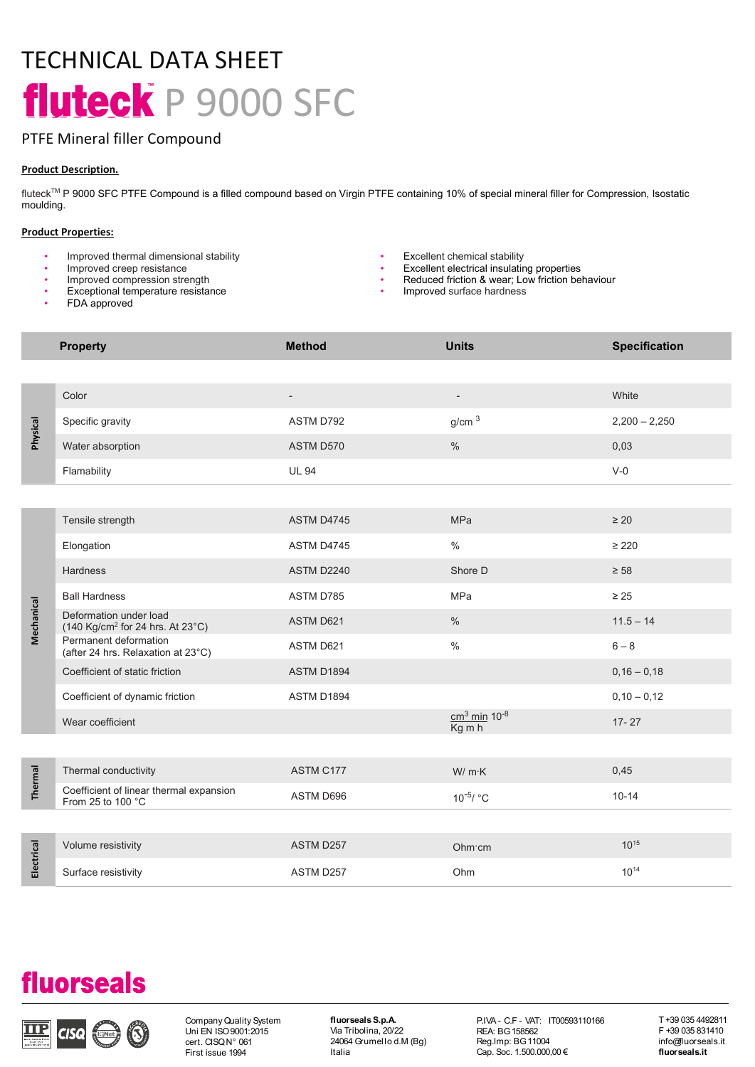# TECHNICAL DATA SHEET fluteck P 9000 SFC

# PTFE Mineral filler Compound

# Product Description.

fluteck™ P 9000 SFC PTFE Compound is a filled compound based on Virgin PTFE containing 10% of special mineral filler for Compression, Isostatic moulding.

# Product Properties:

- Improved thermal dimensional stability Excellent chemical stability
- 
- 
- Exceptional temperature resistance
- FDA approved
- 
- 
- Improved creep resistance and the state of the state of the state of the state of the state of the state of the state of the state of the state of the state of the state of the state of the state of the state of the stat • Improved compression strength **• Reduced friction & wear;** Low friction behaviour
	- Improved surface hardness

|            | <b>Property</b>                                                                                                                                                                        | <b>Method</b>                                                                 | <b>Units</b>                                                                                        | <b>Specification</b> |                                                                             |
|------------|----------------------------------------------------------------------------------------------------------------------------------------------------------------------------------------|-------------------------------------------------------------------------------|-----------------------------------------------------------------------------------------------------|----------------------|-----------------------------------------------------------------------------|
|            |                                                                                                                                                                                        |                                                                               |                                                                                                     |                      |                                                                             |
| Physical   | Color                                                                                                                                                                                  | $\overline{\phantom{a}}$                                                      | $\overline{\phantom{a}}$                                                                            | White                |                                                                             |
|            | Specific gravity                                                                                                                                                                       | ASTM D792                                                                     | g/cm <sup>3</sup>                                                                                   | $2,200 - 2,250$      |                                                                             |
|            | Water absorption                                                                                                                                                                       | ASTM D570                                                                     | $\%$                                                                                                | 0,03                 |                                                                             |
|            | Flamability                                                                                                                                                                            | <b>UL 94</b>                                                                  |                                                                                                     | $V-0$                |                                                                             |
|            |                                                                                                                                                                                        |                                                                               |                                                                                                     |                      |                                                                             |
| Mechanical | Tensile strength                                                                                                                                                                       | ASTM D4745                                                                    | MPa                                                                                                 | $\geq 20$            |                                                                             |
|            | Elongation                                                                                                                                                                             | ASTM D4745                                                                    | $\%$                                                                                                | $\geq 220$           |                                                                             |
|            | Hardness                                                                                                                                                                               | <b>ASTM D2240</b>                                                             | Shore D                                                                                             | $\geq 58$            |                                                                             |
|            | <b>Ball Hardness</b>                                                                                                                                                                   | ASTM D785                                                                     | MPa                                                                                                 | $\geq 25$            |                                                                             |
|            | Deformation under load<br>(140 Kg/cm <sup>2</sup> for 24 hrs. At 23°C)                                                                                                                 | ASTM D621                                                                     | $\%$                                                                                                | $11.5 - 14$          |                                                                             |
|            | Permanent deformation<br>(after 24 hrs. Relaxation at 23°C)                                                                                                                            | ASTM D621                                                                     | $\%$                                                                                                | $6-8$                |                                                                             |
|            | Coefficient of static friction                                                                                                                                                         | <b>ASTM D1894</b>                                                             |                                                                                                     | $0,16 - 0,18$        |                                                                             |
|            | Coefficient of dynamic friction                                                                                                                                                        | ASTM D1894                                                                    |                                                                                                     | $0,10 - 0,12$        |                                                                             |
|            | Wear coefficient                                                                                                                                                                       |                                                                               | $\frac{\text{cm}^3 \text{min}}{\text{Kg m h}} 10^{-8}$                                              | $17 - 27$            |                                                                             |
|            |                                                                                                                                                                                        |                                                                               |                                                                                                     |                      |                                                                             |
| Thermal    | Thermal conductivity                                                                                                                                                                   | ASTM C177                                                                     | W/ m·K                                                                                              | 0,45                 |                                                                             |
|            | Coefficient of linear thermal expansion<br>From 25 to 100 °C                                                                                                                           | ASTM D696                                                                     | $10^{-5}$ / °C                                                                                      | $10 - 14$            |                                                                             |
|            |                                                                                                                                                                                        |                                                                               |                                                                                                     |                      |                                                                             |
| Electrical | Volume resistivity                                                                                                                                                                     | ASTM D257                                                                     | Ohm cm                                                                                              | $10^{15}$            |                                                                             |
|            | Surface resistivity                                                                                                                                                                    | ASTM D257                                                                     | Ohm                                                                                                 | $10^{14}$            |                                                                             |
|            |                                                                                                                                                                                        |                                                                               |                                                                                                     |                      |                                                                             |
|            |                                                                                                                                                                                        |                                                                               |                                                                                                     |                      |                                                                             |
|            |                                                                                                                                                                                        |                                                                               |                                                                                                     |                      |                                                                             |
|            | <b>fluorseals</b>                                                                                                                                                                      |                                                                               |                                                                                                     |                      |                                                                             |
| IIP        | Company Quality System<br>$\left(\begin{matrix} \begin{matrix} 1 \\ 1 \end{matrix} \end{matrix}\right)$<br>Uni EN ISO 9001:2015<br><b>CISQ</b><br>cert. CISQN° 061<br>First issue 1994 | fluorseals S.p.A.<br>Via Tribolina, 20/22<br>24064 Grumellod.M (Bg)<br>Italia | P.IVA - C.F - VAT: IT00593110166<br>REA: BG 158562<br>Reg.Imp: BG 11004<br>Cap. Soc. 1.500.000,00 € |                      | T+39 035 4492811<br>F +39 035 831410<br>info@luorseals.it<br>fluor seals.it |

# fluorseals